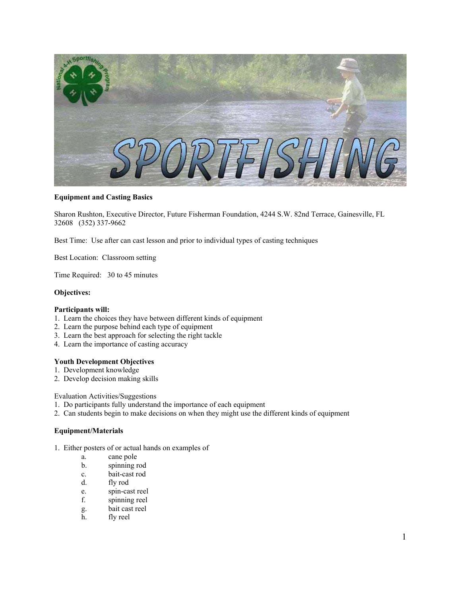

### **Equipment and Casting Basics**

Sharon Rushton, Executive Director, Future Fisherman Foundation, 4244 S.W. 82nd Terrace, Gainesville, FL 32608 (352) 337-9662

Best Time: Use after can cast lesson and prior to individual types of casting techniques

Best Location: Classroom setting

Time Required: 30 to 45 minutes

### **Objectives:**

### **Participants will:**

- 1. Learn the choices they have between different kinds of equipment
- 2. Learn the purpose behind each type of equipment
- 3. Learn the best approach for selecting the right tackle
- 4. Learn the importance of casting accuracy

### **Youth Development Objectives**

- 1. Development knowledge
- 2. Develop decision making skills

Evaluation Activities/Suggestions

- 1. Do participants fully understand the importance of each equipment
- 2. Can students begin to make decisions on when they might use the different kinds of equipment

### **Equipment/Materials**

- 1. Either posters of or actual hands on examples of
	- a. cane pole
	- b. spinning rod
	- c. bait-cast rod
	- d. fly rod
	- e. spin-cast reel
	- f. spinning reel
	- g. bait cast reel
	- h. fly reel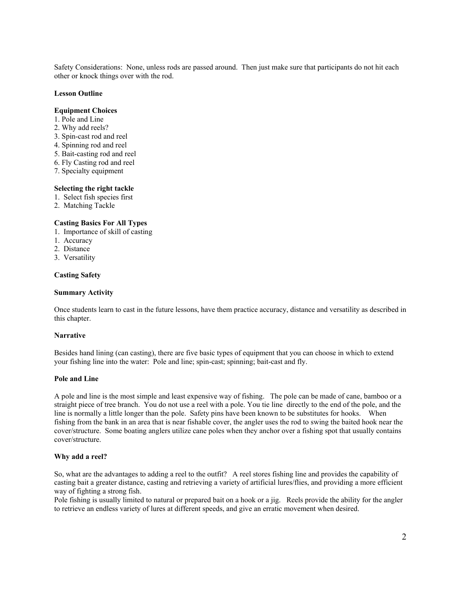Safety Considerations: None, unless rods are passed around. Then just make sure that participants do not hit each other or knock things over with the rod.

### **Lesson Outline**

### **Equipment Choices**

- 1. Pole and Line
- 2. Why add reels?
- 3. Spin-cast rod and reel
- 4. Spinning rod and reel
- 5. Bait-casting rod and reel
- 6. Fly Casting rod and reel
- 7. Specialty equipment

### **Selecting the right tackle**

- 1. Select fish species first
- 2. Matching Tackle

# **Casting Basics For All Types**

- 1. Importance of skill of casting
- 1. Accuracy
- 2. Distance
- 3. Versatility

#### **Casting Safety**

#### **Summary Activity**

Once students learn to cast in the future lessons, have them practice accuracy, distance and versatility as described in this chapter.

### **Narrative**

Besides hand lining (can casting), there are five basic types of equipment that you can choose in which to extend your fishing line into the water: Pole and line; spin-cast; spinning; bait-cast and fly.

### **Pole and Line**

A pole and line is the most simple and least expensive way of fishing. The pole can be made of cane, bamboo or a straight piece of tree branch. You do not use a reel with a pole. You tie line directly to the end of the pole, and the line is normally a little longer than the pole. Safety pins have been known to be substitutes for hooks. When fishing from the bank in an area that is near fishable cover, the angler uses the rod to swing the baited hook near the cover/structure. Some boating anglers utilize cane poles when they anchor over a fishing spot that usually contains cover/structure.

#### **Why add a reel?**

So, what are the advantages to adding a reel to the outfit? A reel stores fishing line and provides the capability of casting bait a greater distance, casting and retrieving a variety of artificial lures/flies, and providing a more efficient way of fighting a strong fish.

Pole fishing is usually limited to natural or prepared bait on a hook or a jig. Reels provide the ability for the angler to retrieve an endless variety of lures at different speeds, and give an erratic movement when desired.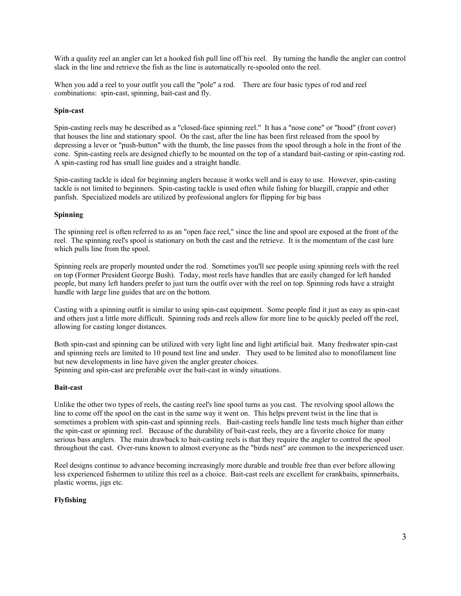With a quality reel an angler can let a hooked fish pull line off his reel. By turning the handle the angler can control slack in the line and retrieve the fish as the line is automatically re-spooled onto the reel.

When you add a reel to your outfit you call the "pole" a rod. There are four basic types of rod and reel combinations: spin-cast, spinning, bait-cast and fly.

# **Spin-cast**

Spin-casting reels may be described as a "closed-face spinning reel." It has a "nose cone" or "hood" (front cover) that houses the line and stationary spool. On the cast, after the line has been first released from the spool by depressing a lever or "push-button" with the thumb, the line passes from the spool through a hole in the front of the cone. Spin-casting reels are designed chiefly to be mounted on the top of a standard bait-casting or spin-casting rod. A spin-casting rod has small line guides and a straight handle.

Spin-casting tackle is ideal for beginning anglers because it works well and is easy to use. However, spin-casting tackle is not limited to beginners. Spin-casting tackle is used often while fishing for bluegill, crappie and other panfish. Specialized models are utilized by professional anglers for flipping for big bass

### **Spinning**

The spinning reel is often referred to as an "open face reel," since the line and spool are exposed at the front of the reel. The spinning reel's spool is stationary on both the cast and the retrieve. It is the momentum of the cast lure which pulls line from the spool.

Spinning reels are properly mounted under the rod. Sometimes you'll see people using spinning reels with the reel on top (Former President George Bush). Today, most reels have handles that are easily changed for left handed people, but many left handers prefer to just turn the outfit over with the reel on top. Spinning rods have a straight handle with large line guides that are on the bottom.

Casting with a spinning outfit is similar to using spin-cast equipment. Some people find it just as easy as spin-cast and others just a little more difficult. Spinning rods and reels allow for more line to be quickly peeled off the reel, allowing for casting longer distances.

Both spin-cast and spinning can be utilized with very light line and light artificial bait. Many freshwater spin-cast and spinning reels are limited to 10 pound test line and under. They used to be limited also to monofilament line but new developments in line have given the angler greater choices.

Spinning and spin-cast are preferable over the bait-cast in windy situations.

# **Bait-cast**

Unlike the other two types of reels, the casting reel's line spool turns as you cast. The revolving spool allows the line to come off the spool on the cast in the same way it went on. This helps prevent twist in the line that is sometimes a problem with spin-cast and spinning reels. Bait-casting reels handle line tests much higher than either the spin-cast or spinning reel. Because of the durability of bait-cast reels, they are a favorite choice for many serious bass anglers. The main drawback to bait-casting reels is that they require the angler to control the spool throughout the cast. Over-runs known to almost everyone as the "birds nest" are common to the inexperienced user.

Reel designs continue to advance becoming increasingly more durable and trouble free than ever before allowing less experienced fishermen to utilize this reel as a choice. Bait-cast reels are excellent for crankbaits, spinnerbaits, plastic worms, jigs etc.

# **Flyfishing**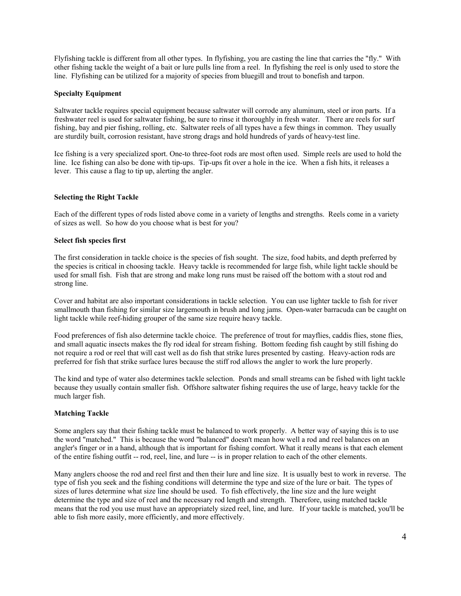Flyfishing tackle is different from all other types. In flyfishing, you are casting the line that carries the "fly." With other fishing tackle the weight of a bait or lure pulls line from a reel. In flyfishing the reel is only used to store the line. Flyfishing can be utilized for a majority of species from bluegill and trout to bonefish and tarpon.

### **Specialty Equipment**

Saltwater tackle requires special equipment because saltwater will corrode any aluminum, steel or iron parts. If a freshwater reel is used for saltwater fishing, be sure to rinse it thoroughly in fresh water. There are reels for surf fishing, bay and pier fishing, rolling, etc. Saltwater reels of all types have a few things in common. They usually are sturdily built, corrosion resistant, have strong drags and hold hundreds of yards of heavy-test line.

Ice fishing is a very specialized sport. One-to three-foot rods are most often used. Simple reels are used to hold the line. Ice fishing can also be done with tip-ups. Tip-ups fit over a hole in the ice. When a fish hits, it releases a lever. This cause a flag to tip up, alerting the angler.

### **Selecting the Right Tackle**

Each of the different types of rods listed above come in a variety of lengths and strengths. Reels come in a variety of sizes as well. So how do you choose what is best for you?

### **Select fish species first**

The first consideration in tackle choice is the species of fish sought. The size, food habits, and depth preferred by the species is critical in choosing tackle. Heavy tackle is recommended for large fish, while light tackle should be used for small fish. Fish that are strong and make long runs must be raised off the bottom with a stout rod and strong line.

Cover and habitat are also important considerations in tackle selection. You can use lighter tackle to fish for river smallmouth than fishing for similar size largemouth in brush and long jams. Open-water barracuda can be caught on light tackle while reef-hiding grouper of the same size require heavy tackle.

Food preferences of fish also determine tackle choice. The preference of trout for mayflies, caddis flies, stone flies, and small aquatic insects makes the fly rod ideal for stream fishing. Bottom feeding fish caught by still fishing do not require a rod or reel that will cast well as do fish that strike lures presented by casting. Heavy-action rods are preferred for fish that strike surface lures because the stiff rod allows the angler to work the lure properly.

The kind and type of water also determines tackle selection. Ponds and small streams can be fished with light tackle because they usually contain smaller fish. Offshore saltwater fishing requires the use of large, heavy tackle for the much larger fish.

### **Matching Tackle**

Some anglers say that their fishing tackle must be balanced to work properly. A better way of saying this is to use the word "matched." This is because the word "balanced" doesn't mean how well a rod and reel balances on an angler's finger or in a hand, although that is important for fishing comfort. What it really means is that each element of the entire fishing outfit -- rod, reel, line, and lure -- is in proper relation to each of the other elements.

Many anglers choose the rod and reel first and then their lure and line size. It is usually best to work in reverse. The type of fish you seek and the fishing conditions will determine the type and size of the lure or bait. The types of sizes of lures determine what size line should be used. To fish effectively, the line size and the lure weight determine the type and size of reel and the necessary rod length and strength. Therefore, using matched tackle means that the rod you use must have an appropriately sized reel, line, and lure. If your tackle is matched, you'll be able to fish more easily, more efficiently, and more effectively.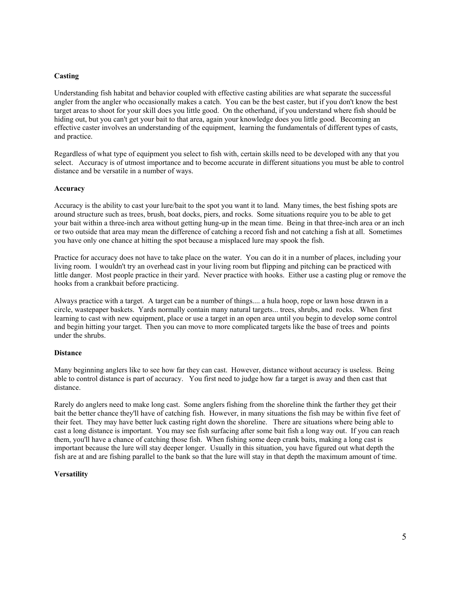### **Casting**

Understanding fish habitat and behavior coupled with effective casting abilities are what separate the successful angler from the angler who occasionally makes a catch. You can be the best caster, but if you don't know the best target areas to shoot for your skill does you little good. On the otherhand, if you understand where fish should be hiding out, but you can't get your bait to that area, again your knowledge does you little good. Becoming an effective caster involves an understanding of the equipment, learning the fundamentals of different types of casts, and practice.

Regardless of what type of equipment you select to fish with, certain skills need to be developed with any that you select. Accuracy is of utmost importance and to become accurate in different situations you must be able to control distance and be versatile in a number of ways.

### **Accuracy**

Accuracy is the ability to cast your lure/bait to the spot you want it to land. Many times, the best fishing spots are around structure such as trees, brush, boat docks, piers, and rocks. Some situations require you to be able to get your bait within a three-inch area without getting hung-up in the mean time. Being in that three-inch area or an inch or two outside that area may mean the difference of catching a record fish and not catching a fish at all. Sometimes you have only one chance at hitting the spot because a misplaced lure may spook the fish.

Practice for accuracy does not have to take place on the water. You can do it in a number of places, including your living room. I wouldn't try an overhead cast in your living room but flipping and pitching can be practiced with little danger. Most people practice in their yard. Never practice with hooks. Either use a casting plug or remove the hooks from a crankbait before practicing.

Always practice with a target. A target can be a number of things.... a hula hoop, rope or lawn hose drawn in a circle, wastepaper baskets. Yards normally contain many natural targets... trees, shrubs, and rocks. When first learning to cast with new equipment, place or use a target in an open area until you begin to develop some control and begin hitting your target. Then you can move to more complicated targets like the base of trees and points under the shrubs.

#### **Distance**

Many beginning anglers like to see how far they can cast. However, distance without accuracy is useless. Being able to control distance is part of accuracy. You first need to judge how far a target is away and then cast that distance.

Rarely do anglers need to make long cast. Some anglers fishing from the shoreline think the farther they get their bait the better chance they'll have of catching fish. However, in many situations the fish may be within five feet of their feet. They may have better luck casting right down the shoreline. There are situations where being able to cast a long distance is important. You may see fish surfacing after some bait fish a long way out. If you can reach them, you'll have a chance of catching those fish. When fishing some deep crank baits, making a long cast is important because the lure will stay deeper longer. Usually in this situation, you have figured out what depth the fish are at and are fishing parallel to the bank so that the lure will stay in that depth the maximum amount of time.

### **Versatility**